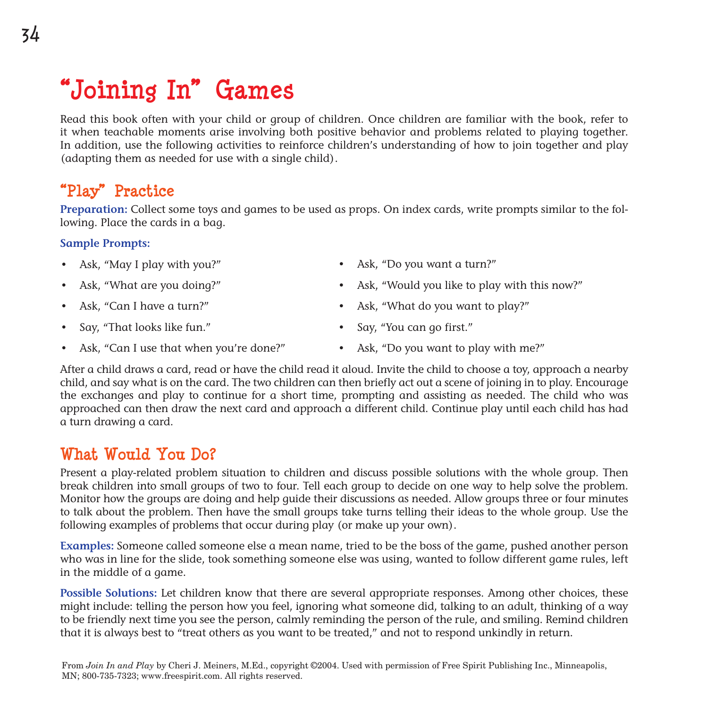# **"Joining In" Games**

Read this book often with your child or group of children. Once children are familiar with the book, refer to it when teachable moments arise involving both positive behavior and problems related to playing together. In addition, use the following activities to reinforce children's understanding of how to join together and play (adapting them as needed for use with a single child).

#### **"Play" Practice**

**Preparation:** Collect some toys and games to be used as props. On index cards, write prompts similar to the following. Place the cards in a bag.

#### **Sample Prompts:**

- Ask, "May I play with you?"
- Ask, "What are you doing?"
- Ask, "Can I have a turn?"
- Say, "That looks like fun."

• Ask, "Would you like to play with this now?"

• Ask, "Do you want a turn?"

- Ask, "What do you want to play?"
- Say, "You can go first."
- Ask, "Can I use that when you're done?"
	- Ask, "Do you want to play with me?"

After a child draws a card, read or have the child read it aloud. Invite the child to choose a toy, approach a nearby child, and say what is on the card. The two children can then briefly act out a scene of joining in to play. Encourage the exchanges and play to continue for a short time, prompting and assisting as needed. The child who was approached can then draw the next card and approach a different child. Continue play until each child has had a turn drawing a card.

### **What Would You Do?**

Present a play-related problem situation to children and discuss possible solutions with the whole group. Then break children into small groups of two to four. Tell each group to decide on one way to help solve the problem. Monitor how the groups are doing and help guide their discussions as needed. Allow groups three or four minutes to talk about the problem. Then have the small groups take turns telling their ideas to the whole group. Use the following examples of problems that occur during play (or make up your own).

**Examples:** Someone called someone else a mean name, tried to be the boss of the game, pushed another person who was in line for the slide, took something someone else was using, wanted to follow different game rules, left in the middle of a game.

**Possible Solutions:** Let children know that there are several appropriate responses. Among other choices, these might include: telling the person how you feel, ignoring what someone did, talking to an adult, thinking of a way to be friendly next time you see the person, calmly reminding the person of the rule, and smiling. Remind children that it is always best to "treat others as you want to be treated," and not to respond unkindly in return.